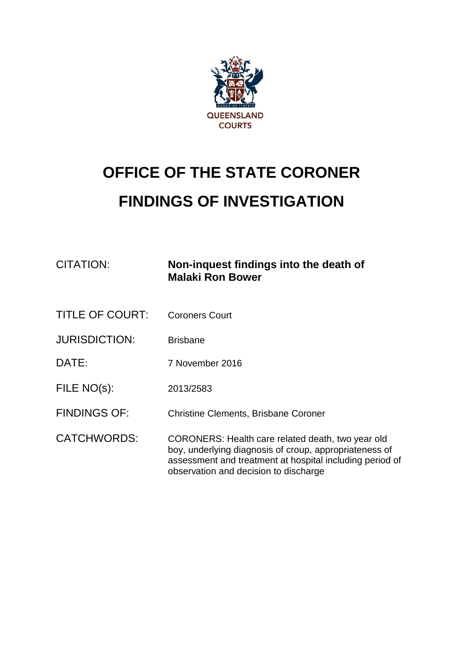

# **OFFICE OF THE STATE CORONER FINDINGS OF INVESTIGATION**

| CITATION:              | Non-inquest findings into the death of<br><b>Malaki Ron Bower</b>                                                                                                                                                |
|------------------------|------------------------------------------------------------------------------------------------------------------------------------------------------------------------------------------------------------------|
| <b>TITLE OF COURT:</b> | <b>Coroners Court</b>                                                                                                                                                                                            |
| <b>JURISDICTION:</b>   | <b>Brisbane</b>                                                                                                                                                                                                  |
| DATE:                  | 7 November 2016                                                                                                                                                                                                  |
| FILE NO(s):            | 2013/2583                                                                                                                                                                                                        |
| <b>FINDINGS OF:</b>    | <b>Christine Clements, Brisbane Coroner</b>                                                                                                                                                                      |
| <b>CATCHWORDS:</b>     | CORONERS: Health care related death, two year old<br>boy, underlying diagnosis of croup, appropriateness of<br>assessment and treatment at hospital including period of<br>observation and decision to discharge |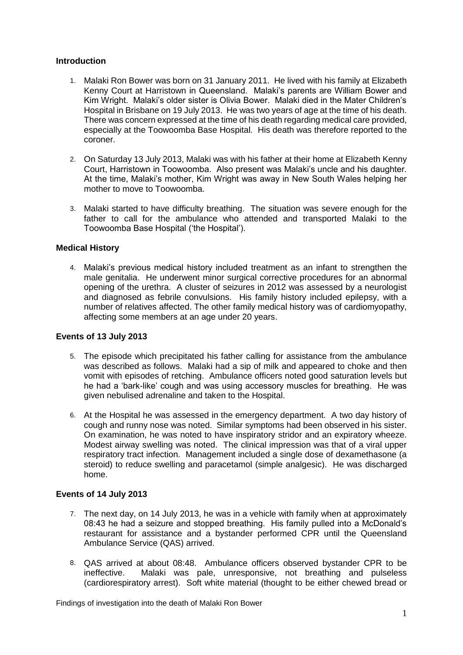#### **Introduction**

- 1. Malaki Ron Bower was born on 31 January 2011. He lived with his family at Elizabeth Kenny Court at Harristown in Queensland. Malaki's parents are William Bower and Kim Wright. Malaki's older sister is Olivia Bower. Malaki died in the Mater Children's Hospital in Brisbane on 19 July 2013. He was two years of age at the time of his death. There was concern expressed at the time of his death regarding medical care provided, especially at the Toowoomba Base Hospital. His death was therefore reported to the coroner.
- 2. On Saturday 13 July 2013, Malaki was with his father at their home at Elizabeth Kenny Court, Harristown in Toowoomba. Also present was Malaki's uncle and his daughter. At the time, Malaki's mother, Kim Wright was away in New South Wales helping her mother to move to Toowoomba.
- 3. Malaki started to have difficulty breathing. The situation was severe enough for the father to call for the ambulance who attended and transported Malaki to the Toowoomba Base Hospital ('the Hospital').

#### **Medical History**

4. Malaki's previous medical history included treatment as an infant to strengthen the male genitalia. He underwent minor surgical corrective procedures for an abnormal opening of the urethra. A cluster of seizures in 2012 was assessed by a neurologist and diagnosed as febrile convulsions. His family history included epilepsy, with a number of relatives affected. The other family medical history was of cardiomyopathy, affecting some members at an age under 20 years.

### **Events of 13 July 2013**

- 5. The episode which precipitated his father calling for assistance from the ambulance was described as follows. Malaki had a sip of milk and appeared to choke and then vomit with episodes of retching. Ambulance officers noted good saturation levels but he had a 'bark-like' cough and was using accessory muscles for breathing. He was given nebulised adrenaline and taken to the Hospital.
- 6. At the Hospital he was assessed in the emergency department. A two day history of cough and runny nose was noted. Similar symptoms had been observed in his sister. On examination, he was noted to have inspiratory stridor and an expiratory wheeze. Modest airway swelling was noted. The clinical impression was that of a viral upper respiratory tract infection. Management included a single dose of dexamethasone (a steroid) to reduce swelling and paracetamol (simple analgesic). He was discharged home.

### **Events of 14 July 2013**

- 7. The next day, on 14 July 2013, he was in a vehicle with family when at approximately 08:43 he had a seizure and stopped breathing. His family pulled into a McDonald's restaurant for assistance and a bystander performed CPR until the Queensland Ambulance Service (QAS) arrived.
- 8. QAS arrived at about 08:48. Ambulance officers observed bystander CPR to be ineffective. Malaki was pale, unresponsive, not breathing and pulseless (cardiorespiratory arrest). Soft white material (thought to be either chewed bread or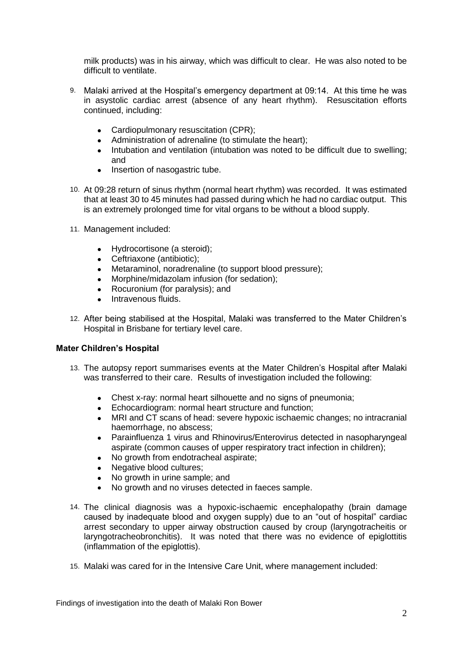milk products) was in his airway, which was difficult to clear. He was also noted to be difficult to ventilate.

- 9. Malaki arrived at the Hospital's emergency department at 09:14. At this time he was in asystolic cardiac arrest (absence of any heart rhythm). Resuscitation efforts continued, including:
	- Cardiopulmonary resuscitation (CPR);
	- Administration of adrenaline (to stimulate the heart);
	- Intubation and ventilation (intubation was noted to be difficult due to swelling; and
	- Insertion of nasogastric tube.
- 10. At 09:28 return of sinus rhythm (normal heart rhythm) was recorded. It was estimated that at least 30 to 45 minutes had passed during which he had no cardiac output. This is an extremely prolonged time for vital organs to be without a blood supply.
- 11. Management included:
	- Hydrocortisone (a steroid);
	- Ceftriaxone (antibiotic);
	- Metaraminol, noradrenaline (to support blood pressure);
	- Morphine/midazolam infusion (for sedation):
	- Rocuronium (for paralysis); and
	- Intravenous fluids.
- 12. After being stabilised at the Hospital, Malaki was transferred to the Mater Children's Hospital in Brisbane for tertiary level care.

### **Mater Children's Hospital**

- 13. The autopsy report summarises events at the Mater Children's Hospital after Malaki was transferred to their care. Results of investigation included the following:
	- Chest x-ray: normal heart silhouette and no signs of pneumonia;
	- Echocardiogram: normal heart structure and function;
	- MRI and CT scans of head: severe hypoxic ischaemic changes; no intracranial haemorrhage, no abscess;
	- Parainfluenza 1 virus and Rhinovirus/Enterovirus detected in nasopharyngeal aspirate (common causes of upper respiratory tract infection in children);
	- No growth from endotracheal aspirate;
	- Negative blood cultures:
	- No growth in urine sample; and
	- No growth and no viruses detected in faeces sample.
- 14. The clinical diagnosis was a hypoxic-ischaemic encephalopathy (brain damage caused by inadequate blood and oxygen supply) due to an "out of hospital" cardiac arrest secondary to upper airway obstruction caused by croup (laryngotracheitis or laryngotracheobronchitis). It was noted that there was no evidence of epiglottitis (inflammation of the epiglottis).
- 15. Malaki was cared for in the Intensive Care Unit, where management included: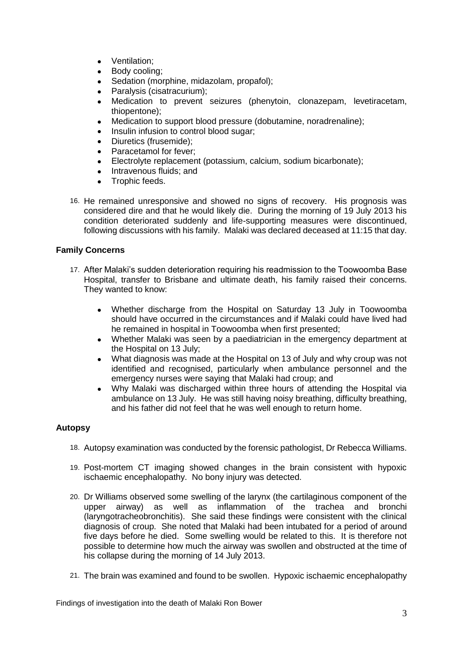- Ventilation:
- Body cooling;
- Sedation (morphine, midazolam, propafol);
- Paralysis (cisatracurium);
- Medication to prevent seizures (phenytoin, clonazepam, levetiracetam, thiopentone);
- Medication to support blood pressure (dobutamine, noradrenaline);
- Insulin infusion to control blood sugar;
- Diuretics (frusemide);
- Paracetamol for fever;
- Electrolyte replacement (potassium, calcium, sodium bicarbonate);
- Intravenous fluids; and
- Trophic feeds.
- 16. He remained unresponsive and showed no signs of recovery. His prognosis was considered dire and that he would likely die. During the morning of 19 July 2013 his condition deteriorated suddenly and life-supporting measures were discontinued, following discussions with his family. Malaki was declared deceased at 11:15 that day.

## **Family Concerns**

- 17. After Malaki's sudden deterioration requiring his readmission to the Toowoomba Base Hospital, transfer to Brisbane and ultimate death, his family raised their concerns. They wanted to know:
	- Whether discharge from the Hospital on Saturday 13 July in Toowoomba should have occurred in the circumstances and if Malaki could have lived had he remained in hospital in Toowoomba when first presented;
	- Whether Malaki was seen by a paediatrician in the emergency department at the Hospital on 13 July;
	- What diagnosis was made at the Hospital on 13 of July and why croup was not identified and recognised, particularly when ambulance personnel and the emergency nurses were saying that Malaki had croup; and
	- Why Malaki was discharged within three hours of attending the Hospital via ambulance on 13 July. He was still having noisy breathing, difficulty breathing, and his father did not feel that he was well enough to return home.

# **Autopsy**

- 18. Autopsy examination was conducted by the forensic pathologist, Dr Rebecca Williams.
- 19. Post-mortem CT imaging showed changes in the brain consistent with hypoxic ischaemic encephalopathy. No bony injury was detected.
- 20. Dr Williams observed some swelling of the larynx (the cartilaginous component of the upper airway) as well as inflammation of the trachea and bronchi (laryngotracheobronchitis). She said these findings were consistent with the clinical diagnosis of croup. She noted that Malaki had been intubated for a period of around five days before he died. Some swelling would be related to this. It is therefore not possible to determine how much the airway was swollen and obstructed at the time of his collapse during the morning of 14 July 2013.
- 21. The brain was examined and found to be swollen. Hypoxic ischaemic encephalopathy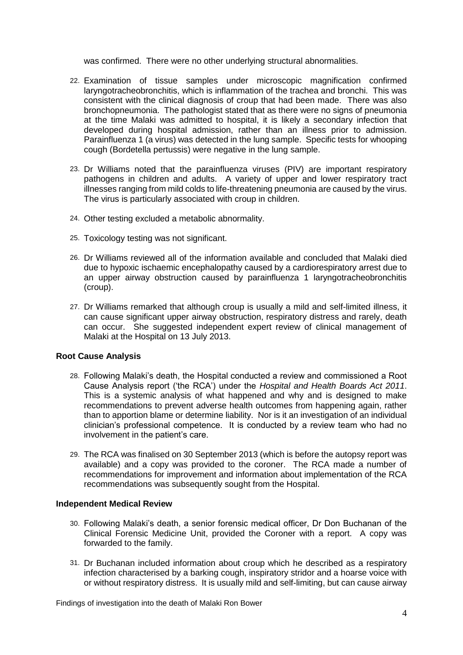was confirmed. There were no other underlying structural abnormalities.

- 22. Examination of tissue samples under microscopic magnification confirmed laryngotracheobronchitis, which is inflammation of the trachea and bronchi. This was consistent with the clinical diagnosis of croup that had been made. There was also bronchopneumonia. The pathologist stated that as there were no signs of pneumonia at the time Malaki was admitted to hospital, it is likely a secondary infection that developed during hospital admission, rather than an illness prior to admission. Parainfluenza 1 (a virus) was detected in the lung sample. Specific tests for whooping cough (Bordetella pertussis) were negative in the lung sample.
- 23. Dr Williams noted that the parainfluenza viruses (PIV) are important respiratory pathogens in children and adults. A variety of upper and lower respiratory tract illnesses ranging from mild colds to life-threatening pneumonia are caused by the virus. The virus is particularly associated with croup in children.
- 24. Other testing excluded a metabolic abnormality.
- 25. Toxicology testing was not significant.
- 26. Dr Williams reviewed all of the information available and concluded that Malaki died due to hypoxic ischaemic encephalopathy caused by a cardiorespiratory arrest due to an upper airway obstruction caused by parainfluenza 1 laryngotracheobronchitis (croup).
- 27. Dr Williams remarked that although croup is usually a mild and self-limited illness, it can cause significant upper airway obstruction, respiratory distress and rarely, death can occur. She suggested independent expert review of clinical management of Malaki at the Hospital on 13 July 2013.

### **Root Cause Analysis**

- 28. Following Malaki's death, the Hospital conducted a review and commissioned a Root Cause Analysis report ('the RCA') under the *Hospital and Health Boards Act 2011*. This is a systemic analysis of what happened and why and is designed to make recommendations to prevent adverse health outcomes from happening again, rather than to apportion blame or determine liability. Nor is it an investigation of an individual clinician's professional competence. It is conducted by a review team who had no involvement in the patient's care.
- 29. The RCA was finalised on 30 September 2013 (which is before the autopsy report was available) and a copy was provided to the coroner. The RCA made a number of recommendations for improvement and information about implementation of the RCA recommendations was subsequently sought from the Hospital.

### **Independent Medical Review**

- 30. Following Malaki's death, a senior forensic medical officer, Dr Don Buchanan of the Clinical Forensic Medicine Unit, provided the Coroner with a report. A copy was forwarded to the family.
- 31. Dr Buchanan included information about croup which he described as a respiratory infection characterised by a barking cough, inspiratory stridor and a hoarse voice with or without respiratory distress. It is usually mild and self-limiting, but can cause airway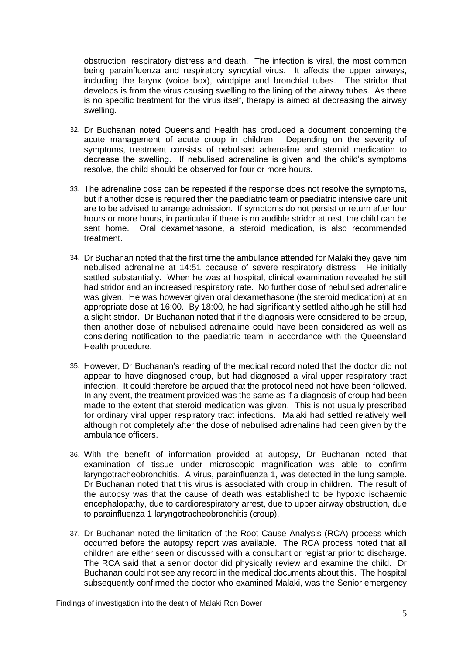obstruction, respiratory distress and death. The infection is viral, the most common being parainfluenza and respiratory syncytial virus. It affects the upper airways, including the larynx (voice box), windpipe and bronchial tubes. The stridor that develops is from the virus causing swelling to the lining of the airway tubes. As there is no specific treatment for the virus itself, therapy is aimed at decreasing the airway swelling.

- 32. Dr Buchanan noted Queensland Health has produced a document concerning the acute management of acute croup in children. Depending on the severity of symptoms, treatment consists of nebulised adrenaline and steroid medication to decrease the swelling. If nebulised adrenaline is given and the child's symptoms resolve, the child should be observed for four or more hours.
- 33. The adrenaline dose can be repeated if the response does not resolve the symptoms, but if another dose is required then the paediatric team or paediatric intensive care unit are to be advised to arrange admission. If symptoms do not persist or return after four hours or more hours, in particular if there is no audible stridor at rest, the child can be sent home. Oral dexamethasone, a steroid medication, is also recommended treatment.
- 34. Dr Buchanan noted that the first time the ambulance attended for Malaki they gave him nebulised adrenaline at 14:51 because of severe respiratory distress. He initially settled substantially. When he was at hospital, clinical examination revealed he still had stridor and an increased respiratory rate. No further dose of nebulised adrenaline was given. He was however given oral dexamethasone (the steroid medication) at an appropriate dose at 16:00. By 18:00, he had significantly settled although he still had a slight stridor. Dr Buchanan noted that if the diagnosis were considered to be croup, then another dose of nebulised adrenaline could have been considered as well as considering notification to the paediatric team in accordance with the Queensland Health procedure.
- 35. However, Dr Buchanan's reading of the medical record noted that the doctor did not appear to have diagnosed croup, but had diagnosed a viral upper respiratory tract infection. It could therefore be argued that the protocol need not have been followed. In any event, the treatment provided was the same as if a diagnosis of croup had been made to the extent that steroid medication was given. This is not usually prescribed for ordinary viral upper respiratory tract infections. Malaki had settled relatively well although not completely after the dose of nebulised adrenaline had been given by the ambulance officers.
- 36. With the benefit of information provided at autopsy, Dr Buchanan noted that examination of tissue under microscopic magnification was able to confirm laryngotracheobronchitis. A virus, parainfluenza 1, was detected in the lung sample. Dr Buchanan noted that this virus is associated with croup in children. The result of the autopsy was that the cause of death was established to be hypoxic ischaemic encephalopathy, due to cardiorespiratory arrest, due to upper airway obstruction, due to parainfluenza 1 laryngotracheobronchitis (croup).
- 37. Dr Buchanan noted the limitation of the Root Cause Analysis (RCA) process which occurred before the autopsy report was available. The RCA process noted that all children are either seen or discussed with a consultant or registrar prior to discharge. The RCA said that a senior doctor did physically review and examine the child. Dr Buchanan could not see any record in the medical documents about this. The hospital subsequently confirmed the doctor who examined Malaki, was the Senior emergency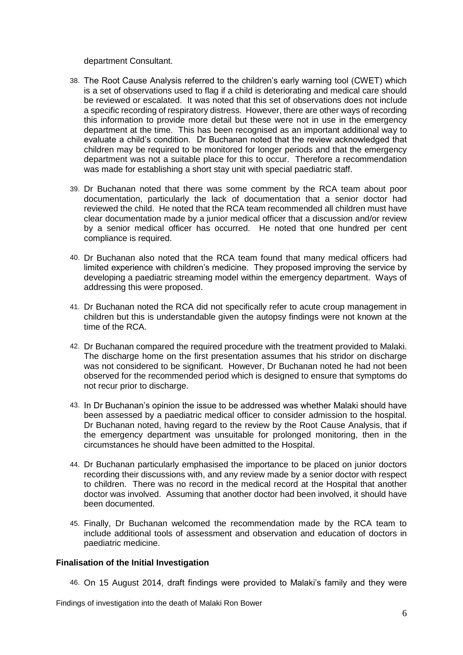department Consultant.

- 38. The Root Cause Analysis referred to the children's early warning tool (CWET) which is a set of observations used to flag if a child is deteriorating and medical care should be reviewed or escalated. It was noted that this set of observations does not include a specific recording of respiratory distress. However, there are other ways of recording this information to provide more detail but these were not in use in the emergency department at the time. This has been recognised as an important additional way to evaluate a child's condition. Dr Buchanan noted that the review acknowledged that children may be required to be monitored for longer periods and that the emergency department was not a suitable place for this to occur. Therefore a recommendation was made for establishing a short stay unit with special paediatric staff.
- 39. Dr Buchanan noted that there was some comment by the RCA team about poor documentation, particularly the lack of documentation that a senior doctor had reviewed the child. He noted that the RCA team recommended all children must have clear documentation made by a junior medical officer that a discussion and/or review by a senior medical officer has occurred. He noted that one hundred per cent compliance is required.
- 40. Dr Buchanan also noted that the RCA team found that many medical officers had limited experience with children's medicine. They proposed improving the service by developing a paediatric streaming model within the emergency department. Ways of addressing this were proposed.
- 41. Dr Buchanan noted the RCA did not specifically refer to acute croup management in children but this is understandable given the autopsy findings were not known at the time of the RCA.
- 42. Dr Buchanan compared the required procedure with the treatment provided to Malaki. The discharge home on the first presentation assumes that his stridor on discharge was not considered to be significant. However, Dr Buchanan noted he had not been observed for the recommended period which is designed to ensure that symptoms do not recur prior to discharge.
- 43. In Dr Buchanan's opinion the issue to be addressed was whether Malaki should have been assessed by a paediatric medical officer to consider admission to the hospital. Dr Buchanan noted, having regard to the review by the Root Cause Analysis, that if the emergency department was unsuitable for prolonged monitoring, then in the circumstances he should have been admitted to the Hospital.
- 44. Dr Buchanan particularly emphasised the importance to be placed on junior doctors recording their discussions with, and any review made by a senior doctor with respect to children. There was no record in the medical record at the Hospital that another doctor was involved. Assuming that another doctor had been involved, it should have been documented.
- 45. Finally, Dr Buchanan welcomed the recommendation made by the RCA team to include additional tools of assessment and observation and education of doctors in paediatric medicine.

#### **Finalisation of the Initial Investigation**

46. On 15 August 2014, draft findings were provided to Malaki's family and they were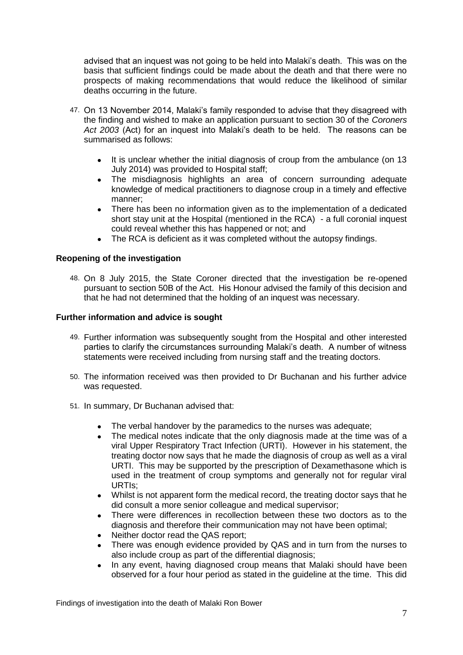advised that an inquest was not going to be held into Malaki's death. This was on the basis that sufficient findings could be made about the death and that there were no prospects of making recommendations that would reduce the likelihood of similar deaths occurring in the future.

- 47. On 13 November 2014, Malaki's family responded to advise that they disagreed with the finding and wished to make an application pursuant to section 30 of the *Coroners Act 2003* (Act) for an inquest into Malaki's death to be held. The reasons can be summarised as follows:
	- It is unclear whether the initial diagnosis of croup from the ambulance (on 13 July 2014) was provided to Hospital staff;
	- The misdiagnosis highlights an area of concern surrounding adequate knowledge of medical practitioners to diagnose croup in a timely and effective manner;
	- There has been no information given as to the implementation of a dedicated short stay unit at the Hospital (mentioned in the RCA) - a full coronial inquest could reveal whether this has happened or not; and
	- The RCA is deficient as it was completed without the autopsy findings.

### **Reopening of the investigation**

48. On 8 July 2015, the State Coroner directed that the investigation be re-opened pursuant to section 50B of the Act. His Honour advised the family of this decision and that he had not determined that the holding of an inquest was necessary.

### **Further information and advice is sought**

- 49. Further information was subsequently sought from the Hospital and other interested parties to clarify the circumstances surrounding Malaki's death. A number of witness statements were received including from nursing staff and the treating doctors.
- 50. The information received was then provided to Dr Buchanan and his further advice was requested.
- 51. In summary, Dr Buchanan advised that:
	- The verbal handover by the paramedics to the nurses was adequate;
	- The medical notes indicate that the only diagnosis made at the time was of a viral Upper Respiratory Tract Infection (URTI). However in his statement, the treating doctor now says that he made the diagnosis of croup as well as a viral URTI. This may be supported by the prescription of Dexamethasone which is used in the treatment of croup symptoms and generally not for regular viral URTIs;
	- Whilst is not apparent form the medical record, the treating doctor says that he did consult a more senior colleague and medical supervisor;
	- There were differences in recollection between these two doctors as to the diagnosis and therefore their communication may not have been optimal;
	- Neither doctor read the QAS report;
	- There was enough evidence provided by QAS and in turn from the nurses to also include croup as part of the differential diagnosis;
	- In any event, having diagnosed croup means that Malaki should have been observed for a four hour period as stated in the guideline at the time. This did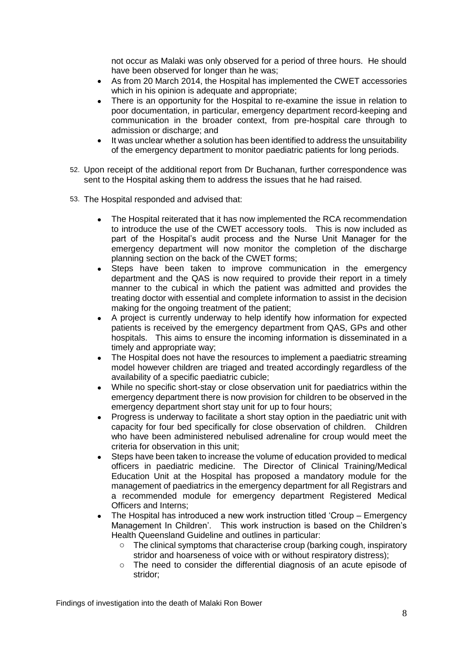not occur as Malaki was only observed for a period of three hours. He should have been observed for longer than he was;

- As from 20 March 2014, the Hospital has implemented the CWET accessories which in his opinion is adequate and appropriate;
- There is an opportunity for the Hospital to re-examine the issue in relation to poor documentation, in particular, emergency department record-keeping and communication in the broader context, from pre-hospital care through to admission or discharge; and
- It was unclear whether a solution has been identified to address the unsuitability of the emergency department to monitor paediatric patients for long periods.
- 52. Upon receipt of the additional report from Dr Buchanan, further correspondence was sent to the Hospital asking them to address the issues that he had raised.
- 53. The Hospital responded and advised that:
	- The Hospital reiterated that it has now implemented the RCA recommendation to introduce the use of the CWET accessory tools. This is now included as part of the Hospital's audit process and the Nurse Unit Manager for the emergency department will now monitor the completion of the discharge planning section on the back of the CWET forms;
	- Steps have been taken to improve communication in the emergency department and the QAS is now required to provide their report in a timely manner to the cubical in which the patient was admitted and provides the treating doctor with essential and complete information to assist in the decision making for the ongoing treatment of the patient;
	- A project is currently underway to help identify how information for expected patients is received by the emergency department from QAS, GPs and other hospitals. This aims to ensure the incoming information is disseminated in a timely and appropriate way;
	- The Hospital does not have the resources to implement a paediatric streaming model however children are triaged and treated accordingly regardless of the availability of a specific paediatric cubicle;
	- While no specific short-stay or close observation unit for paediatrics within the emergency department there is now provision for children to be observed in the emergency department short stay unit for up to four hours;
	- Progress is underway to facilitate a short stay option in the paediatric unit with capacity for four bed specifically for close observation of children. Children who have been administered nebulised adrenaline for croup would meet the criteria for observation in this unit;
	- Steps have been taken to increase the volume of education provided to medical officers in paediatric medicine. The Director of Clinical Training/Medical Education Unit at the Hospital has proposed a mandatory module for the management of paediatrics in the emergency department for all Registrars and a recommended module for emergency department Registered Medical Officers and Interns;
	- The Hospital has introduced a new work instruction titled 'Croup Emergency Management In Children'. This work instruction is based on the Children's Health Queensland Guideline and outlines in particular:
		- o The clinical symptoms that characterise croup (barking cough, inspiratory stridor and hoarseness of voice with or without respiratory distress);
		- o The need to consider the differential diagnosis of an acute episode of stridor;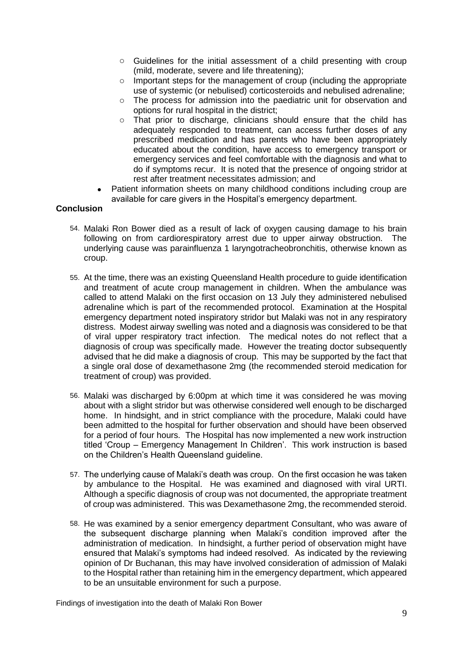- o Guidelines for the initial assessment of a child presenting with croup (mild, moderate, severe and life threatening);
- o Important steps for the management of croup (including the appropriate use of systemic (or nebulised) corticosteroids and nebulised adrenaline;
- $\circ$  The process for admission into the paediatric unit for observation and options for rural hospital in the district;
- o That prior to discharge, clinicians should ensure that the child has adequately responded to treatment, can access further doses of any prescribed medication and has parents who have been appropriately educated about the condition, have access to emergency transport or emergency services and feel comfortable with the diagnosis and what to do if symptoms recur. It is noted that the presence of ongoing stridor at rest after treatment necessitates admission; and
- Patient information sheets on many childhood conditions including croup are available for care givers in the Hospital's emergency department.

# **Conclusion**

- 54. Malaki Ron Bower died as a result of lack of oxygen causing damage to his brain following on from cardiorespiratory arrest due to upper airway obstruction. The underlying cause was parainfluenza 1 laryngotracheobronchitis, otherwise known as croup.
- 55. At the time, there was an existing Queensland Health procedure to guide identification and treatment of acute croup management in children. When the ambulance was called to attend Malaki on the first occasion on 13 July they administered nebulised adrenaline which is part of the recommended protocol. Examination at the Hospital emergency department noted inspiratory stridor but Malaki was not in any respiratory distress. Modest airway swelling was noted and a diagnosis was considered to be that of viral upper respiratory tract infection. The medical notes do not reflect that a diagnosis of croup was specifically made. However the treating doctor subsequently advised that he did make a diagnosis of croup. This may be supported by the fact that a single oral dose of dexamethasone 2mg (the recommended steroid medication for treatment of croup) was provided.
- 56. Malaki was discharged by 6:00pm at which time it was considered he was moving about with a slight stridor but was otherwise considered well enough to be discharged home. In hindsight, and in strict compliance with the procedure, Malaki could have been admitted to the hospital for further observation and should have been observed for a period of four hours. The Hospital has now implemented a new work instruction titled 'Croup – Emergency Management In Children'. This work instruction is based on the Children's Health Queensland guideline.
- 57. The underlying cause of Malaki's death was croup. On the first occasion he was taken by ambulance to the Hospital. He was examined and diagnosed with viral URTI. Although a specific diagnosis of croup was not documented, the appropriate treatment of croup was administered. This was Dexamethasone 2mg, the recommended steroid.
- 58. He was examined by a senior emergency department Consultant, who was aware of the subsequent discharge planning when Malaki's condition improved after the administration of medication. In hindsight, a further period of observation might have ensured that Malaki's symptoms had indeed resolved. As indicated by the reviewing opinion of Dr Buchanan, this may have involved consideration of admission of Malaki to the Hospital rather than retaining him in the emergency department, which appeared to be an unsuitable environment for such a purpose.